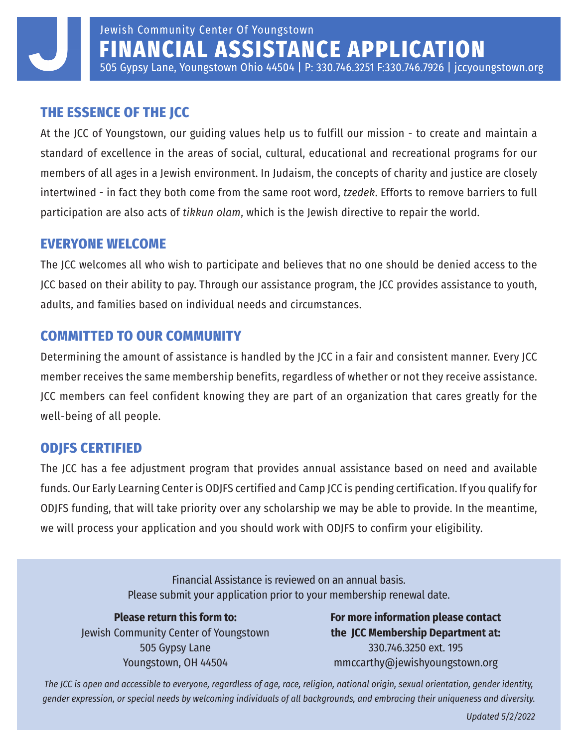### **THE ESSENCE OF THE JCC**

At the JCC of Youngstown, our guiding values help us to fulfill our mission - to create and maintain a standard of excellence in the areas of social, cultural, educational and recreational programs for our members of all ages in a Jewish environment. In Judaism, the concepts of charity and justice are closely intertwined - in fact they both come from the same root word, *tzedek*. Efforts to remove barriers to full participation are also acts of *tikkun olam*, which is the Jewish directive to repair the world.

### **EVERYONE WELCOME**

The JCC welcomes all who wish to participate and believes that no one should be denied access to the JCC based on their ability to pay. Through our assistance program, the JCC provides assistance to youth, adults, and families based on individual needs and circumstances.

### **COMMITTED TO OUR COMMUNITY**

Determining the amount of assistance is handled by the JCC in a fair and consistent manner. Every JCC member receives the same membership benefits, regardless of whether or not they receive assistance. JCC members can feel confident knowing they are part of an organization that cares greatly for the well-being of all people.

### **ODJFS CERTIFIED**

The JCC has a fee adjustment program that provides annual assistance based on need and available funds. Our Early Learning Center is ODJFS certified and Camp JCC is pending certification. If you qualify for ODJFS funding, that will take priority over any scholarship we may be able to provide. In the meantime, we will process your application and you should work with ODJFS to confirm your eligibility.

> Financial Assistance is reviewed on an annual basis. Please submit your application prior to your membership renewal date.

**Please return this form to:** Jewish Community Center of Youngstown 505 Gypsy Lane Youngstown, OH 44504

**For more information please contact the JCC Membership Department at:**  330.746.3250 ext. 195 mmccarthy@jewishyoungstown.org

*The JCC is open and accessible to everyone, regardless of age, race, religion, national origin, sexual orientation, gender identity, gender expression, or special needs by welcoming individuals of all backgrounds, and embracing their uniqueness and diversity.*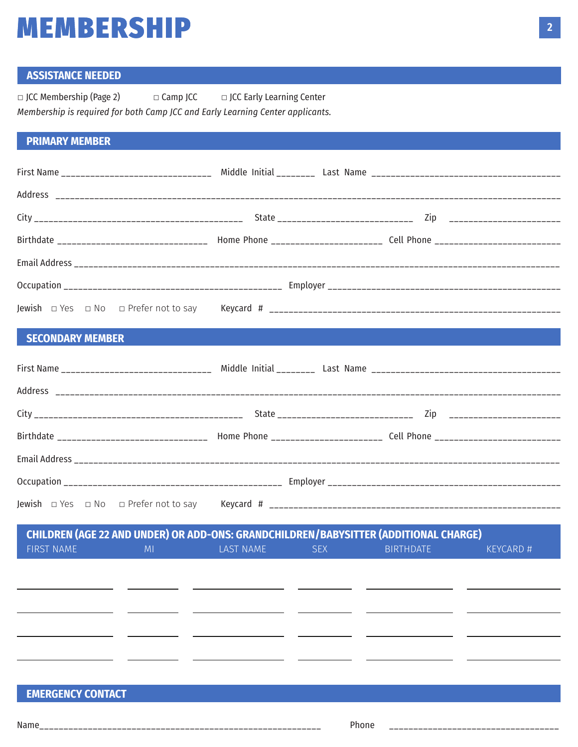## **MEMBERSHIP**

### **ASSISTANCE NEEDED**

| $\Box$ JCC Membership (Page 2)                                                 | $\Box$ Camp JCC | $\Box$ JCC Early Learning Center |
|--------------------------------------------------------------------------------|-----------------|----------------------------------|
| Membership is required for both Camp JCC and Early Learning Center applicants. |                 |                                  |

### **PRIMARY MEMBER**

|                  | First Name _____________________________ Middle Initial ________ Last Name ___________________________________       |
|------------------|----------------------------------------------------------------------------------------------------------------------|
|                  |                                                                                                                      |
|                  |                                                                                                                      |
|                  | Birthdate _______________________________ Home Phone _________________________ Cell Phone __________________________ |
|                  |                                                                                                                      |
|                  |                                                                                                                      |
|                  |                                                                                                                      |
| SECONDARY MEMBER |                                                                                                                      |

| Birthdate _______________________________ Home Phone _______________________ Cell Phone ___________________________ |  |
|---------------------------------------------------------------------------------------------------------------------|--|
|                                                                                                                     |  |
|                                                                                                                     |  |
|                                                                                                                     |  |
|                                                                                                                     |  |

|                   |                |           |            | CHILDREN (AGE 22 AND UNDER) OR ADD-ONS: GRANDCHILDREN/BABYSITTER (ADDITIONAL CHARGE) |                 |
|-------------------|----------------|-----------|------------|--------------------------------------------------------------------------------------|-----------------|
| <b>FIRST NAME</b> | M <sub>l</sub> | LAST NAME | <b>SEX</b> | <b>BIRTHDATE</b>                                                                     | <b>KEYCARD#</b> |
|                   |                |           |            |                                                                                      |                 |
|                   |                |           |            |                                                                                      |                 |
|                   |                |           |            |                                                                                      |                 |
|                   |                |           |            |                                                                                      |                 |
|                   |                |           |            |                                                                                      |                 |
|                   |                |           |            |                                                                                      |                 |
|                   |                |           |            |                                                                                      |                 |
|                   |                |           |            |                                                                                      |                 |

### **EMERGENCY CONTACT**

\_\_\_\_\_\_\_\_\_\_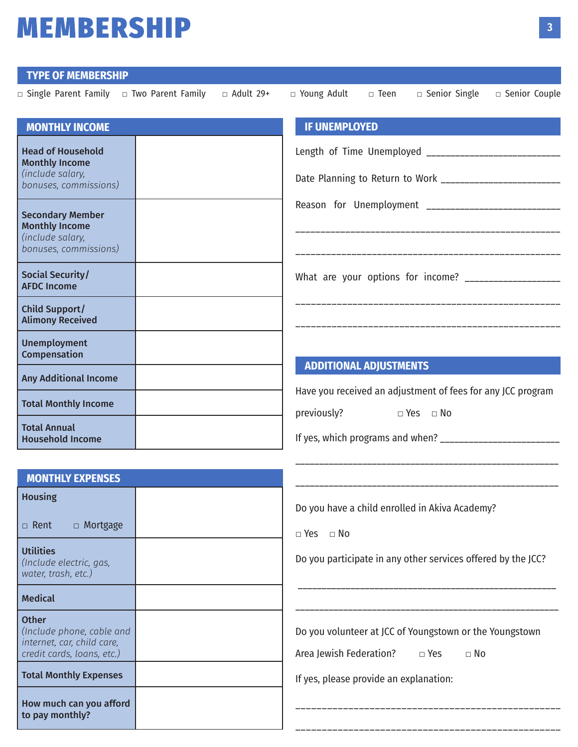## **MEMBERSHIP**

#### **TYPE OF MEMBERSHIP**

| $\Box$ Single Parent Family $\Box$ Two Parent Family $\Box$ Adult 29+ $\Box$ Young Adult $\Box$ Teen $\Box$ Senior Single $\Box$ Senior Couple |  |                                  |                                                                                                                       |  |
|------------------------------------------------------------------------------------------------------------------------------------------------|--|----------------------------------|-----------------------------------------------------------------------------------------------------------------------|--|
| <b>MONTHLY INCOME</b>                                                                                                                          |  | <b>IF UNEMPLOYED</b>             |                                                                                                                       |  |
| <b>Head of Household</b><br><b>Monthly Income</b><br>(include salary,<br>bonuses, commissions)                                                 |  |                                  | Length of Time Unemployed ______________________________<br>Date Planning to Return to Work _________________________ |  |
| <b>Secondary Member</b><br><b>Monthly Income</b><br>(include salary,<br>bonuses, commissions)                                                  |  |                                  | Reason for Unemployment _______________________________                                                               |  |
| Social Security/<br><b>AFDC Income</b>                                                                                                         |  |                                  | What are your options for income? ___________________                                                                 |  |
| <b>Child Support/</b><br><b>Alimony Received</b>                                                                                               |  |                                  |                                                                                                                       |  |
| <b>Unemployment</b><br>Compensation                                                                                                            |  |                                  |                                                                                                                       |  |
| <b>Any Additional Income</b>                                                                                                                   |  | <b>ADDITIONAL ADJUSTMENTS</b>    | Have you received an adjustment of fees for any JCC program                                                           |  |
| <b>Total Monthly Income</b>                                                                                                                    |  | previously? $\Box$ Yes $\Box$ No |                                                                                                                       |  |
| <b>Total Annual</b><br><b>Household Income</b>                                                                                                 |  |                                  | If yes, which programs and when? __________________________                                                           |  |

| <b>MONTHLY EXPENSES</b>                                                                               |  |
|-------------------------------------------------------------------------------------------------------|--|
| <b>Housing</b>                                                                                        |  |
| □ Rent □ Mortgage                                                                                     |  |
| <b>Utilities</b><br>(Include electric, gas,<br>water, trash, etc.)                                    |  |
| <b>Medical</b>                                                                                        |  |
| <b>Other</b><br>(Include phone, cable and<br>internet, car, child care,<br>credit cards, loans, etc.) |  |
| <b>Total Monthly Expenses</b>                                                                         |  |
| How much can you afford<br>to pay monthly?                                                            |  |

Do you have a child enrolled in Akiva Academy?

**□** Yes **□** No

Do you participate in any other services offered by the JCC?

\_\_\_\_\_\_\_\_\_\_\_\_\_\_\_\_\_\_\_\_\_\_\_\_\_\_\_\_\_\_\_\_\_\_\_\_\_\_\_\_\_\_\_\_\_\_\_\_\_\_\_\_\_\_

\_\_\_\_\_\_\_\_\_\_\_\_\_\_\_\_\_\_\_\_\_\_\_\_\_\_\_\_\_\_\_\_\_\_\_\_\_\_\_\_\_\_\_\_\_\_\_\_\_\_\_\_\_\_\_

\_\_\_\_\_\_\_\_\_\_\_\_\_\_\_\_\_\_\_\_\_\_\_\_\_\_\_\_\_\_\_\_\_\_\_\_\_\_\_\_\_\_\_\_\_\_\_\_\_\_\_\_\_\_\_

\_\_\_\_\_\_\_\_\_\_\_\_\_\_\_\_\_\_\_\_\_\_\_\_\_\_\_\_\_\_\_\_\_\_\_\_\_\_\_\_\_\_\_\_\_\_\_\_\_\_\_\_\_\_\_

Do you volunteer at JCC of Youngstown or the Youngstown

\_\_\_\_\_\_\_\_\_\_\_\_\_\_\_\_\_\_\_\_\_\_\_\_\_\_\_\_\_\_\_\_\_\_\_\_\_\_\_\_\_\_\_\_\_\_\_\_\_\_

Area Jewish Federation? **□** Yes **□** No

\_\_\_\_\_\_\_\_\_\_\_\_\_\_\_\_\_\_\_\_\_\_\_\_\_\_\_\_\_\_\_\_\_\_\_\_\_\_\_\_\_\_\_\_\_\_\_\_\_\_

If yes, please provide an explanation: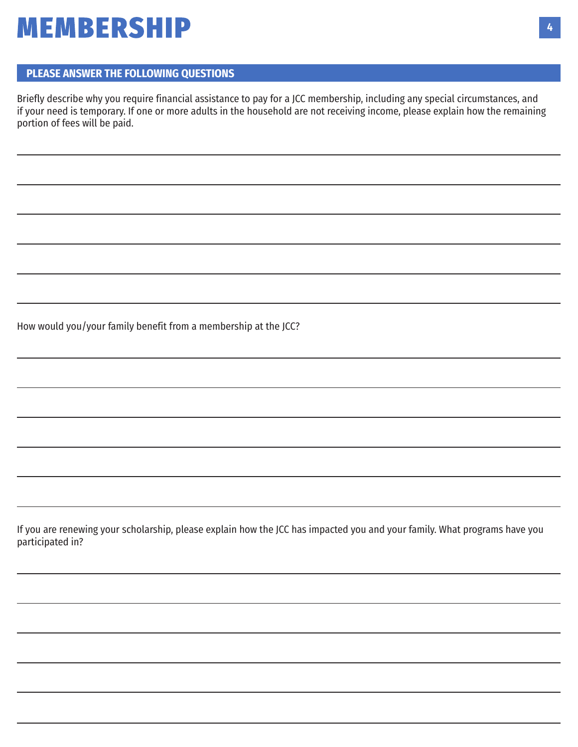## **MEMBERSHIP**

#### **PLEASE ANSWER THE FOLLOWING QUESTIONS**

Briefly describe why you require financial assistance to pay for a JCC membership, including any special circumstances, and if your need is temporary. If one or more adults in the household are not receiving income, please explain how the remaining portion of fees will be paid.

How would you/your family benefit from a membership at the JCC?

If you are renewing your scholarship, please explain how the JCC has impacted you and your family. What programs have you participated in?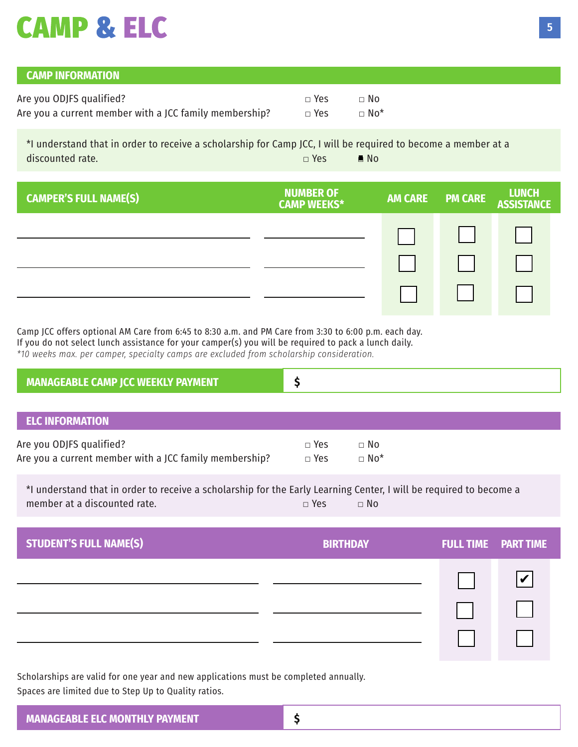# **CAMP & ELC**

| <b>CAMP INFORMATION</b>                                |            |                          |
|--------------------------------------------------------|------------|--------------------------|
| Are you ODJFS qualified?                               | $\Box$ Yes | $\Box$ No                |
| Are you a current member with a JCC family membership? | $\Box$ Yes | $\sqcap$ No <sup>*</sup> |

\*I understand that in order to receive a scholarship for Camp JCC, I will be required to become a member at a discounted rate. **□** Yes **□** No

| <b>CAMPER'S FULL NAME(S)</b> | <b>NUMBER OF</b><br><b>CAMP WEEKS*</b> | <b>AM CARE</b> | <b>PM CARE</b> | <b>LUNCH<br/>ASSISTANCE</b> |
|------------------------------|----------------------------------------|----------------|----------------|-----------------------------|
|                              |                                        |                |                |                             |
|                              |                                        |                |                |                             |
|                              |                                        |                |                |                             |

Camp JCC offers optional AM Care from 6:45 to 8:30 a.m. and PM Care from 3:30 to 6:00 p.m. each day. If you do not select lunch assistance for your camper(s) you will be required to pack a lunch daily. *\*10 weeks max. per camper, specialty camps are excluded from scholarship consideration.*

| <b>MANAGEABLE CAMP JCC WEEKLY PAYMENT</b>                                          |                          |                                     |  |  |
|------------------------------------------------------------------------------------|--------------------------|-------------------------------------|--|--|
|                                                                                    |                          |                                     |  |  |
| <b>ELC INFORMATION</b>                                                             |                          |                                     |  |  |
| Are you ODJFS qualified?<br>Are you a current member with a JCC family membership? | $\Box$ Yes<br>$\Box$ Yes | $\Box$ No<br>$\Box$ No <sup>*</sup> |  |  |

\*I understand that in order to receive a scholarship for the Early Learning Center, I will be required to become a member at a discounted rate. **□** Yes **□** No

| <b>STUDENT'S FULL NAME(S)</b> | <b>BIRTHDAY</b> | <b>FULL TIME PART TIME</b> |
|-------------------------------|-----------------|----------------------------|
|                               |                 |                            |
|                               |                 |                            |
|                               |                 |                            |

Scholarships are valid for one year and new applications must be completed annually. Spaces are limited due to Step Up to Quality ratios.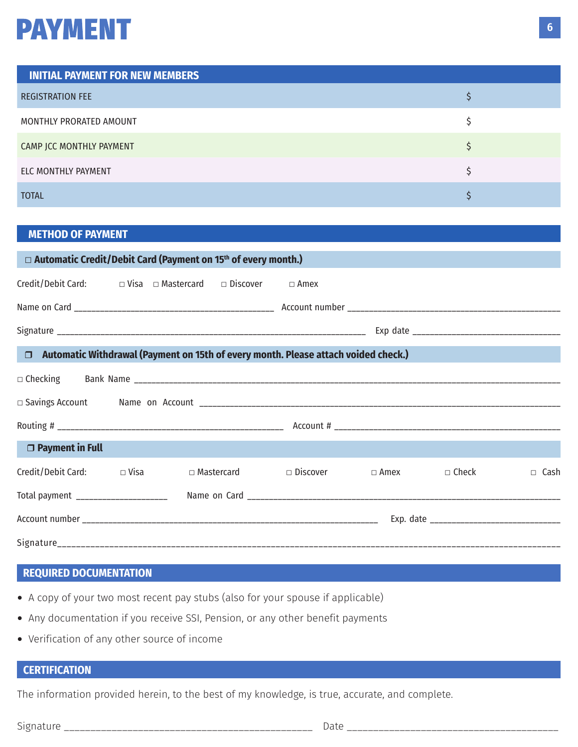### **PAYMENT**

| <b>INITIAL PAYMENT FOR NEW MEMBERS</b> |  |
|----------------------------------------|--|
| <b>REGISTRATION FEE</b>                |  |
| MONTHLY PRORATED AMOUNT                |  |
| CAMP JCC MONTHLY PAYMENT               |  |
| ELC MONTHLY PAYMENT                    |  |
| <b>TOTAL</b>                           |  |

#### **METHOD OF PAYMENT**

| □ Automatic Credit/Debit Card (Payment on 15th of every month.)           |  |  |  |                                                                                           |             |              |             |
|---------------------------------------------------------------------------|--|--|--|-------------------------------------------------------------------------------------------|-------------|--------------|-------------|
| Credit/Debit Card: $\square$ Visa $\square$ Mastercard $\square$ Discover |  |  |  | $\Box$ Amex                                                                               |             |              |             |
|                                                                           |  |  |  |                                                                                           |             |              |             |
|                                                                           |  |  |  |                                                                                           |             |              |             |
|                                                                           |  |  |  | $\Box$ Automatic Withdrawal (Payment on 15th of every month. Please attach voided check.) |             |              |             |
|                                                                           |  |  |  |                                                                                           |             |              |             |
|                                                                           |  |  |  |                                                                                           |             |              |             |
|                                                                           |  |  |  |                                                                                           |             |              |             |
| □ Payment in Full                                                         |  |  |  |                                                                                           |             |              |             |
| Credit/Debit Card: □ Visa                                                 |  |  |  | $\Box$ Mastercard $\Box$ Discover                                                         | $\Box$ Amex | $\Box$ Check | $\Box$ Cash |
| Total payment _____________________                                       |  |  |  |                                                                                           |             |              |             |
|                                                                           |  |  |  |                                                                                           |             |              |             |
|                                                                           |  |  |  |                                                                                           |             |              |             |

### **REQUIRED DOCUMENTATION**

- A copy of your two most recent pay stubs (also for your spouse if applicable)
- Any documentation if you receive SSI, Pension, or any other benefit payments
- Verification of any other source of income

### **CERTIFICATION**

The information provided herein, to the best of my knowledge, is true, accurate, and complete.

Signature \_\_\_\_\_\_\_\_\_\_\_\_\_\_\_\_\_\_\_\_\_\_\_\_\_\_\_\_\_\_\_\_\_\_\_\_\_\_\_\_\_\_\_\_\_\_\_ Date \_\_\_\_\_\_\_\_\_\_\_\_\_\_\_\_\_\_\_\_\_\_\_\_\_\_\_\_\_\_\_\_\_\_\_\_\_\_\_\_